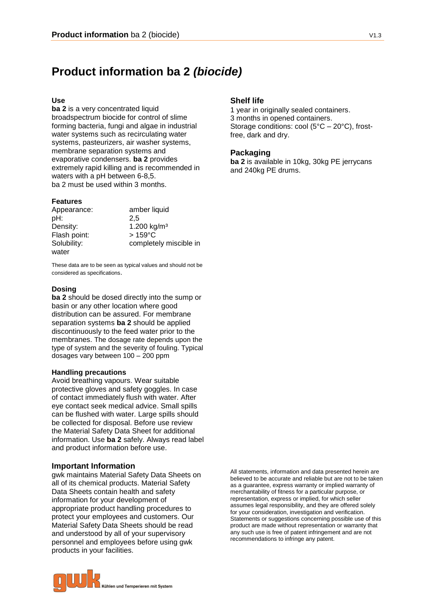# **Product information ba 2** *(biocide)*

### **Use**

**ba 2** is a very concentrated liquid broadspectrum biocide for control of slime forming bacteria, fungi and algae in industrial water systems such as recirculating water systems, pasteurizers, air washer systems, membrane separation systems and evaporative condensers. **ba 2** provides extremely rapid killing and is recommended in waters with a pH between 6-8,5. ba 2 must be used within 3 months.

#### **Features**

| Appearance:  | amber liquid           |
|--------------|------------------------|
| pH:          | 2.5                    |
| Density:     | 1.200 $kg/m3$          |
| Flash point: | $>159^{\circ}$ C       |
| Solubility:  | completely miscible in |
| water        |                        |

These data are to be seen as typical values and should not be considered as specifications.

### **Dosing**

**ba 2** should be dosed directly into the sump or basin or any other location where good distribution can be assured. For membrane separation systems **ba 2** should be applied discontinuously to the feed water prior to the membranes. The dosage rate depends upon the type of system and the severity of fouling. Typical dosages vary between 100 – 200 ppm

#### **Handling precautions**

Avoid breathing vapours. Wear suitable protective gloves and safety goggles. In case of contact immediately flush with water. After eye contact seek medical advice. Small spills can be flushed with water. Large spills should be collected for disposal. Before use review the Material Safety Data Sheet for additional information. Use **ba 2** safely. Always read label and product information before use.

#### **Important Information**

gwk maintains Material Safety Data Sheets on all of its chemical products. Material Safety Data Sheets contain health and safety information for your development of appropriate product handling procedures to protect your employees and customers. Our Material Safety Data Sheets should be read and understood by all of your supervisory personnel and employees before using gwk products in your facilities.





# **Shelf life**

1 year in originally sealed containers. 3 months in opened containers. Storage conditions: cool (5°C – 20°C), frostfree, dark and dry.

# **Packaging**

**ba 2** is available in 10kg, 30kg PE jerrycans and 240kg PE drums.

All statements, information and data presented herein are believed to be accurate and reliable but are not to be taken as a guarantee, express warranty or implied warranty of merchantability of fitness for a particular purpose, or representation, express or implied, for which seller assumes legal responsibility, and they are offered solely for your consideration, investigation and verification. Statements or suggestions concerning possible use of this product are made without representation or warranty that any such use is free of patent infringement and are not recommendations to infringe any patent.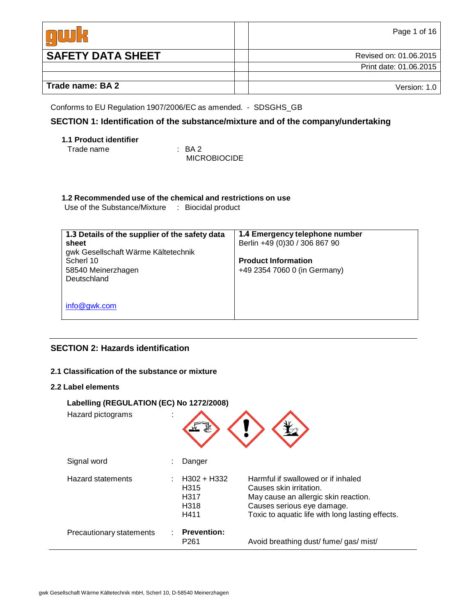|                          | Page 1 of 16           |
|--------------------------|------------------------|
| <b>SAFETY DATA SHEET</b> | Revised on: 01.06.2015 |
|                          | Print date: 01.06.2015 |
|                          |                        |
| Trade name: BA 2         | Version: 1.0           |

Conforms to EU Regulation 1907/2006/EC as amended. - SDSGHS\_GB

# **SECTION 1: Identification of the substance/mixture and of the company/undertaking**

# **1.1 Product identifier**

Trade name : BA 2

MICROBIOCIDE

# **1.2 Recommended use of the chemical and restrictions on use**

Use of the Substance/Mixture : Biocidal product

| 1.3 Details of the supplier of the safety data<br>sheet<br>gwk Gesellschaft Wärme Kältetechnik<br>Scherl 10<br>58540 Meinerzhagen<br>Deutschland | 1.4 Emergency telephone number<br>Berlin +49 (0)30 / 306 867 90<br><b>Product Information</b><br>+49 2354 7060 0 (in Germany) |
|--------------------------------------------------------------------------------------------------------------------------------------------------|-------------------------------------------------------------------------------------------------------------------------------|
| info@gwk.com                                                                                                                                     |                                                                                                                               |

# **SECTION 2: Hazards identification**

# **2.1 Classification of the substance or mixture**

# **2.2 Label elements**

| Labelling (REGULATION (EC) No 1272/2008) |                                                                                   |                                                                                                                                                                                         |  |  |  |  |
|------------------------------------------|-----------------------------------------------------------------------------------|-----------------------------------------------------------------------------------------------------------------------------------------------------------------------------------------|--|--|--|--|
| Hazard pictograms                        |                                                                                   |                                                                                                                                                                                         |  |  |  |  |
| Signal word                              | Danger                                                                            |                                                                                                                                                                                         |  |  |  |  |
| <b>Hazard statements</b>                 | H302 + H332<br>H <sub>315</sub><br>H <sub>3</sub> 17<br>H <sub>3</sub> 18<br>H411 | Harmful if swallowed or if inhaled<br>Causes skin irritation.<br>May cause an allergic skin reaction.<br>Causes serious eye damage.<br>Toxic to aquatic life with long lasting effects. |  |  |  |  |
| Precautionary statements                 | <b>Prevention:</b><br>P <sub>261</sub>                                            | Avoid breathing dust/fume/gas/mist/                                                                                                                                                     |  |  |  |  |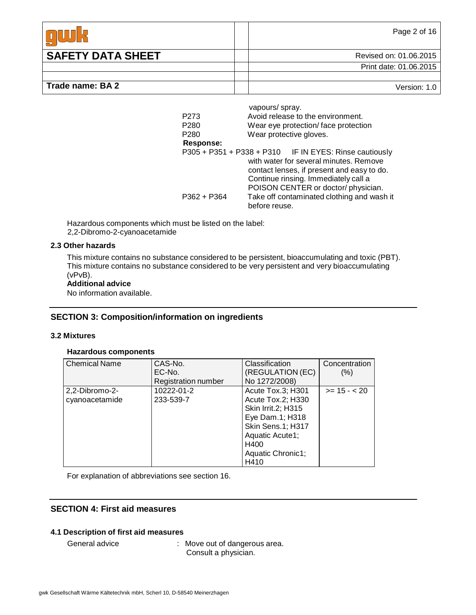|                          | Page 2 of 16           |
|--------------------------|------------------------|
| <b>SAFETY DATA SHEET</b> | Revised on: 01.06.2015 |
|                          | Print date: 01.06.2015 |
|                          |                        |
| Trade name: BA 2         | Version: 1.0           |

|                  | vapours/spray.                                         |
|------------------|--------------------------------------------------------|
| P273             | Avoid release to the environment.                      |
| P <sub>280</sub> | Wear eye protection/face protection                    |
| P <sub>280</sub> | Wear protective gloves.                                |
| <b>Response:</b> |                                                        |
|                  | P305 + P351 + P338 + P310 IF IN EYES: Rinse cautiously |
|                  | with water for several minutes. Remove                 |
|                  | contact lenses, if present and easy to do.             |
|                  | Continue rinsing. Immediately call a                   |
|                  | POISON CENTER or doctor/physician.                     |
| P362 + P364      | Take off contaminated clothing and wash it             |
|                  | before reuse.                                          |

Hazardous components which must be listed on the label: 2,2-Dibromo-2-cyanoacetamide

#### **2.3 Other hazards**

This mixture contains no substance considered to be persistent, bioaccumulating and toxic (PBT). This mixture contains no substance considered to be very persistent and very bioaccumulating (vPvB).

#### **Additional advice**

No information available.

# **SECTION 3: Composition/information on ingredients**

#### **3.2 Mixtures**

#### **Hazardous components**

| <b>Chemical Name</b> | CAS-No.             | Classification            | Concentration |
|----------------------|---------------------|---------------------------|---------------|
|                      | EC-No.              | (REGULATION (EC)          | (%)           |
|                      | Registration number | No 1272/2008)             |               |
| 2,2-Dibromo-2-       | 10222-01-2          | Acute Tox.3; H301         | $>= 15 - 20$  |
| cyanoacetamide       | 233-539-7           | Acute Tox.2; H330         |               |
|                      |                     | <b>Skin Irrit.2; H315</b> |               |
|                      |                     | Eye Dam.1; H318           |               |
|                      |                     | Skin Sens.1; H317         |               |
|                      |                     | Aquatic Acute1;           |               |
|                      |                     | H400                      |               |
|                      |                     | Aquatic Chronic1;         |               |
|                      |                     | H410                      |               |

For explanation of abbreviations see section 16.

# **SECTION 4: First aid measures**

# **4.1 Description of first aid measures**

General advice : Move out of dangerous area. Consult a physician.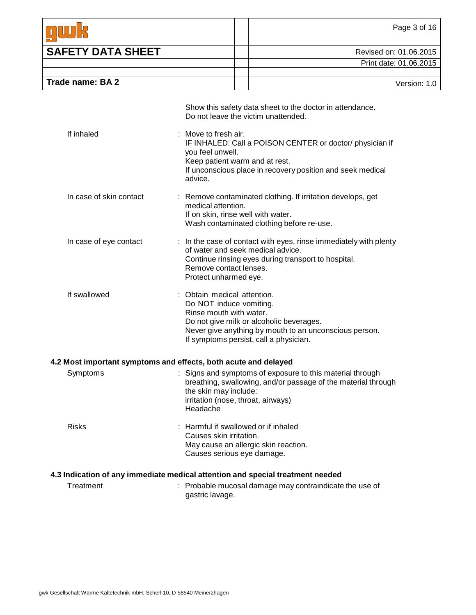|                          | Page 3 of 16           |
|--------------------------|------------------------|
| <b>SAFETY DATA SHEET</b> | Revised on: 01.06.2015 |
|                          | Print date: 01.06.2015 |
|                          |                        |
| Trade name: BA 2         | Version: 1.0           |

|                                                                 |    | Show this safety data sheet to the doctor in attendance.<br>Do not leave the victim unattended.                                                                                                                                   |
|-----------------------------------------------------------------|----|-----------------------------------------------------------------------------------------------------------------------------------------------------------------------------------------------------------------------------------|
| If inhaled                                                      |    | : Move to fresh air.<br>IF INHALED: Call a POISON CENTER or doctor/ physician if<br>you feel unwell.<br>Keep patient warm and at rest.<br>If unconscious place in recovery position and seek medical<br>advice.                   |
| In case of skin contact                                         |    | : Remove contaminated clothing. If irritation develops, get<br>medical attention.<br>If on skin, rinse well with water.<br>Wash contaminated clothing before re-use.                                                              |
| In case of eye contact                                          |    | : In the case of contact with eyes, rinse immediately with plenty<br>of water and seek medical advice.<br>Continue rinsing eyes during transport to hospital.<br>Remove contact lenses.<br>Protect unharmed eye.                  |
| If swallowed                                                    |    | : Obtain medical attention.<br>Do NOT induce vomiting.<br>Rinse mouth with water.<br>Do not give milk or alcoholic beverages.<br>Never give anything by mouth to an unconscious person.<br>If symptoms persist, call a physician. |
| 4.2 Most important symptoms and effects, both acute and delayed |    |                                                                                                                                                                                                                                   |
| Symptoms                                                        |    | : Signs and symptoms of exposure to this material through<br>breathing, swallowing, and/or passage of the material through<br>the skin may include:<br>irritation (nose, throat, airways)<br>Headache                             |
| <b>Risks</b>                                                    |    | : Harmful if swallowed or if inhaled<br>Causes skin irritation.<br>May cause an allergic skin reaction.<br>Causes serious eye damage.                                                                                             |
|                                                                 |    | 4.3 Indication of any immediate medical attention and special treatment needed                                                                                                                                                    |
| Treatment                                                       | t. | Probable mucosal damage may contraindicate the use of<br>gastric lavage.                                                                                                                                                          |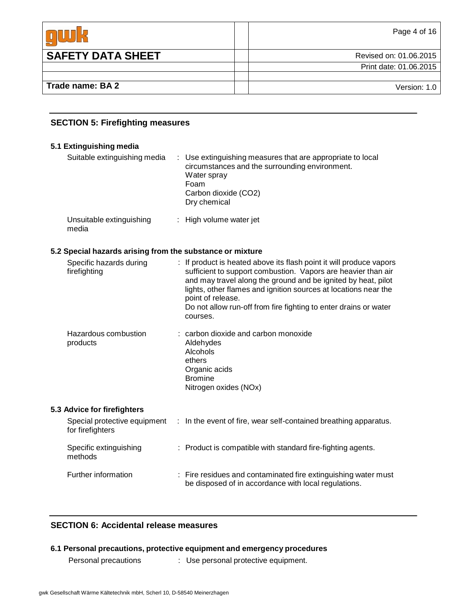|                          | Page 4 of 16           |
|--------------------------|------------------------|
| <b>SAFETY DATA SHEET</b> | Revised on: 01.06.2015 |
|                          | Print date: 01.06.2015 |
|                          |                        |
| Trade name: BA 2         | Version: 1.0           |

# **SECTION 5: Firefighting measures**

# **5.1 Extinguishing media**

| Suitable extinguishing media                                                         | : Use extinguishing measures that are appropriate to local<br>circumstances and the surrounding environment.<br>Water spray<br>Foam<br>Carbon dioxide (CO2)<br>Dry chemical |
|--------------------------------------------------------------------------------------|-----------------------------------------------------------------------------------------------------------------------------------------------------------------------------|
| Unsuitable extinguishing<br>media                                                    | : High volume water jet                                                                                                                                                     |
| 5.2 Special hazards arising from the substance or mixture<br>Specific hazards during | : If product is heated above its flash point it will produce vapors                                                                                                         |

| Specific riazarus during<br>firefighting | . If product is rieated above its hash point it will produce vapors<br>sufficient to support combustion. Vapors are heavier than air<br>and may travel along the ground and be ignited by heat, pilot<br>lights, other flames and ignition sources at locations near the<br>point of release.<br>Do not allow run-off from fire fighting to enter drains or water<br>courses. |  |  |
|------------------------------------------|-------------------------------------------------------------------------------------------------------------------------------------------------------------------------------------------------------------------------------------------------------------------------------------------------------------------------------------------------------------------------------|--|--|
| Hazardous combustion<br>products         | : carbon dioxide and carbon monoxide<br>Aldehydes<br>Alcohols<br>ethers<br>Organic acids<br><b>Bromine</b><br>Nitrogen oxides (NOx)                                                                                                                                                                                                                                           |  |  |
|                                          |                                                                                                                                                                                                                                                                                                                                                                               |  |  |

# **5.3 Advice for firefighters**

| Special protective equipment<br>for firefighters | : In the event of fire, wear self-contained breathing apparatus.                                                       |
|--------------------------------------------------|------------------------------------------------------------------------------------------------------------------------|
| Specific extinguishing<br>methods                | : Product is compatible with standard fire-fighting agents.                                                            |
| Further information                              | : Fire residues and contaminated fire extinguishing water must<br>be disposed of in accordance with local regulations. |

# **SECTION 6: Accidental release measures**

# **6.1 Personal precautions, protective equipment and emergency procedures**

Personal precautions : Use personal protective equipment.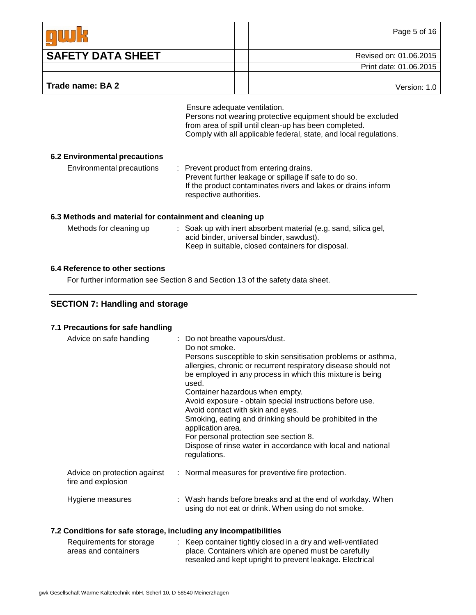|                          | Page 5 of 16           |
|--------------------------|------------------------|
| <b>SAFETY DATA SHEET</b> | Revised on: 01.06.2015 |
|                          | Print date: 01.06.2015 |
|                          |                        |
| Trade name: BA 2         | Version: 1.0           |

Ensure adequate ventilation. Persons not wearing protective equipment should be excluded from area of spill until clean-up has been completed. Comply with all applicable federal, state, and local regulations.

### **6.2 Environmental precautions**

Environmental precautions : Prevent product from entering drains. Prevent further leakage or spillage if safe to do so. If the product contaminates rivers and lakes or drains inform respective authorities.

## **6.3 Methods and material for containment and cleaning up**

| Methods for cleaning up | : Soak up with inert absorbent material (e.g. sand, silica gel, |
|-------------------------|-----------------------------------------------------------------|
|                         | acid binder, universal binder, sawdust).                        |
|                         | Keep in suitable, closed containers for disposal.               |

# **6.4 Reference to other sections**

For further information see Section 8 and Section 13 of the safety data sheet.

# **SECTION 7: Handling and storage**

# **7.1 Precautions for safe handling**

| Advice on safe handling                            | : Do not breathe vapours/dust.<br>Do not smoke.<br>Persons susceptible to skin sensitisation problems or asthma,<br>allergies, chronic or recurrent respiratory disease should not<br>be employed in any process in which this mixture is being<br>used.<br>Container hazardous when empty.<br>Avoid exposure - obtain special instructions before use.<br>Avoid contact with skin and eyes.<br>Smoking, eating and drinking should be prohibited in the<br>application area.<br>For personal protection see section 8.<br>Dispose of rinse water in accordance with local and national<br>regulations. |
|----------------------------------------------------|---------------------------------------------------------------------------------------------------------------------------------------------------------------------------------------------------------------------------------------------------------------------------------------------------------------------------------------------------------------------------------------------------------------------------------------------------------------------------------------------------------------------------------------------------------------------------------------------------------|
| Advice on protection against<br>fire and explosion | : Normal measures for preventive fire protection.                                                                                                                                                                                                                                                                                                                                                                                                                                                                                                                                                       |
| Hygiene measures                                   | : Wash hands before breaks and at the end of workday. When<br>using do not eat or drink. When using do not smoke.                                                                                                                                                                                                                                                                                                                                                                                                                                                                                       |

# **7.2 Conditions for safe storage, including any incompatibilities**

| Requirements for storage | : Keep container tightly closed in a dry and well-ventilated |
|--------------------------|--------------------------------------------------------------|
| areas and containers     | place. Containers which are opened must be carefully         |
|                          | resealed and kept upright to prevent leakage. Electrical     |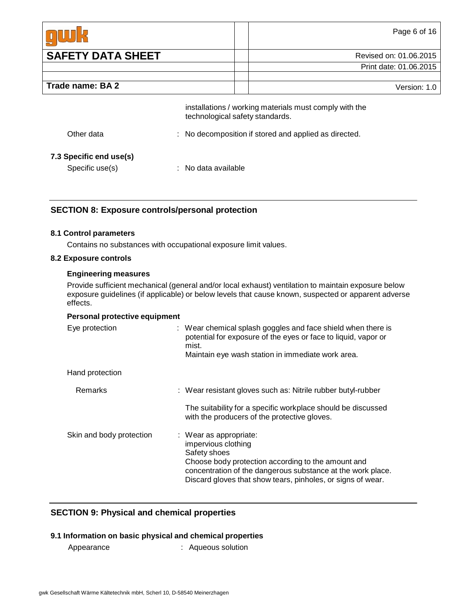|                          | Page 6 of 16           |
|--------------------------|------------------------|
| <b>SAFETY DATA SHEET</b> | Revised on: 01.06.2015 |
|                          | Print date: 01.06.2015 |
|                          |                        |
| Trade name: BA 2         | Version: 1.0           |

|                                            | installations / working materials must comply with the<br>technological safety standards. |
|--------------------------------------------|-------------------------------------------------------------------------------------------|
| Other data                                 | : No decomposition if stored and applied as directed.                                     |
| 7.3 Specific end use(s)<br>Specific use(s) | $\therefore$ No data available                                                            |

# **SECTION 8: Exposure controls/personal protection**

# **8.1 Control parameters**

Contains no substances with occupational exposure limit values.

#### **8.2 Exposure controls**

#### **Engineering measures**

Provide sufficient mechanical (general and/or local exhaust) ventilation to maintain exposure below exposure guidelines (if applicable) or below levels that cause known, suspected or apparent adverse effects.

#### **Personal protective equipment**

| Eye protection           | : Wear chemical splash goggles and face shield when there is<br>potential for exposure of the eyes or face to liquid, vapor or<br>mist.<br>Maintain eye wash station in immediate work area.                                                      |
|--------------------------|---------------------------------------------------------------------------------------------------------------------------------------------------------------------------------------------------------------------------------------------------|
| Hand protection          |                                                                                                                                                                                                                                                   |
| Remarks                  | : Wear resistant gloves such as: Nitrile rubber butyl-rubber                                                                                                                                                                                      |
|                          | The suitability for a specific workplace should be discussed<br>with the producers of the protective gloves.                                                                                                                                      |
| Skin and body protection | : Wear as appropriate:<br>impervious clothing<br>Safety shoes<br>Choose body protection according to the amount and<br>concentration of the dangerous substance at the work place.<br>Discard gloves that show tears, pinholes, or signs of wear. |

# **SECTION 9: Physical and chemical properties**

#### **9.1 Information on basic physical and chemical properties**

Appearance : Aqueous solution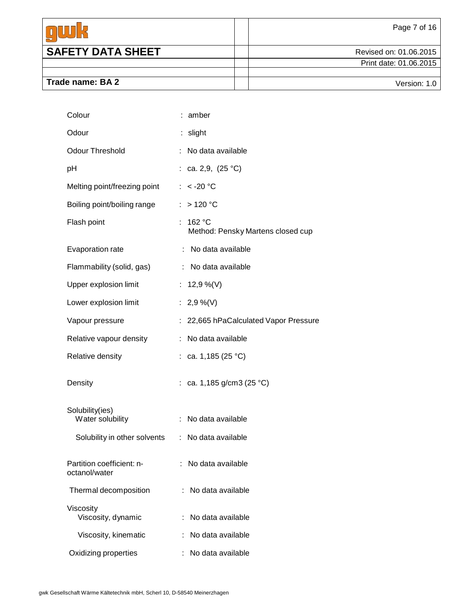|                          | Page 7 of 16           |
|--------------------------|------------------------|
| <b>SAFETY DATA SHEET</b> | Revised on: 01.06.2015 |
|                          | Print date: 01.06.2015 |
|                          |                        |
| Trade name: BA 2         | Version: 1.0           |

| Colour                                     | : amber                                          |
|--------------------------------------------|--------------------------------------------------|
| Odour                                      | slight                                           |
| <b>Odour Threshold</b>                     | No data available                                |
| рH                                         | : ca. 2,9, $(25 °C)$                             |
| Melting point/freezing point               | : $< -20$ °C                                     |
| Boiling point/boiling range                | : >120 °C                                        |
| Flash point                                | 162 °C<br>÷<br>Method: Pensky Martens closed cup |
| Evaporation rate                           | : No data available                              |
| Flammability (solid, gas)                  | : No data available                              |
| Upper explosion limit                      | : $12,9\%$ (V)                                   |
| Lower explosion limit                      | : 2,9 %(V)                                       |
| Vapour pressure                            | 22,665 hPaCalculated Vapor Pressure              |
| Relative vapour density                    | No data available<br>÷                           |
| Relative density                           | : ca. 1,185 (25 °C)                              |
| Density                                    | : ca. 1,185 g/cm3 (25 °C)                        |
| Solubility(ies)<br>Water solubility        | No data available                                |
| Solubility in other solvents               | : No data available                              |
| Partition coefficient: n-<br>octanol/water | No data available                                |
| Thermal decomposition                      | No data available                                |
| Viscosity<br>Viscosity, dynamic            | No data available                                |
| Viscosity, kinematic                       | No data available                                |
| Oxidizing properties                       | No data available                                |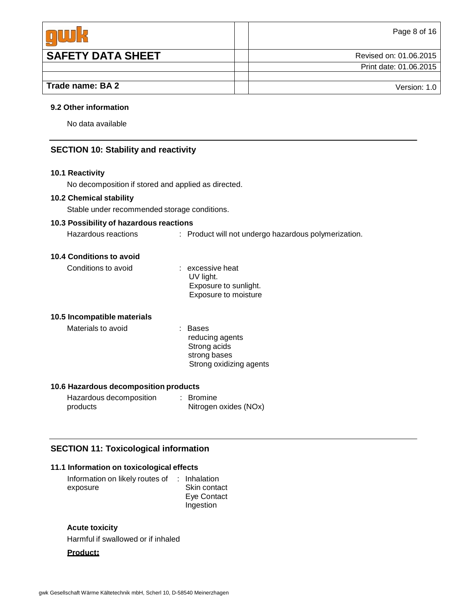|                          | Page 8 of 16           |
|--------------------------|------------------------|
| <b>SAFETY DATA SHEET</b> | Revised on: 01.06.2015 |
|                          | Print date: 01.06.2015 |
|                          |                        |
| Trade name: BA 2         | Version: 1.0           |

#### **9.2 Other information**

No data available

# **SECTION 10: Stability and reactivity**

## **10.1 Reactivity**

No decomposition if stored and applied as directed.

# **10.2 Chemical stability**

Stable under recommended storage conditions.

# **10.3 Possibility of hazardous reactions**

| Hazardous reactions | : Product will not undergo hazardous polymerization. |
|---------------------|------------------------------------------------------|
|---------------------|------------------------------------------------------|

#### **10.4 Conditions to avoid**

| Conditions to avoid | : excessive heat      |
|---------------------|-----------------------|
|                     | UV light.             |
|                     | Exposure to sunlight. |
|                     | Exposure to moisture  |

#### **10.5 Incompatible materials**

Materials to avoid **: Bases** 

reducing agents Strong acids strong bases Strong oxidizing agents

# **10.6 Hazardous decomposition products**

| Hazardous decomposition | : Bromine             |
|-------------------------|-----------------------|
| products                | Nitrogen oxides (NOx) |

# **SECTION 11: Toxicological information**

# **11.1 Information on toxicological effects**

| Information on likely routes of : Inhalation |              |
|----------------------------------------------|--------------|
| exposure                                     | Skin contact |
|                                              | Eye Contact  |
|                                              | Ingestion    |

#### **Acute toxicity**

Harmful if swallowed or if inhaled

#### **Product**: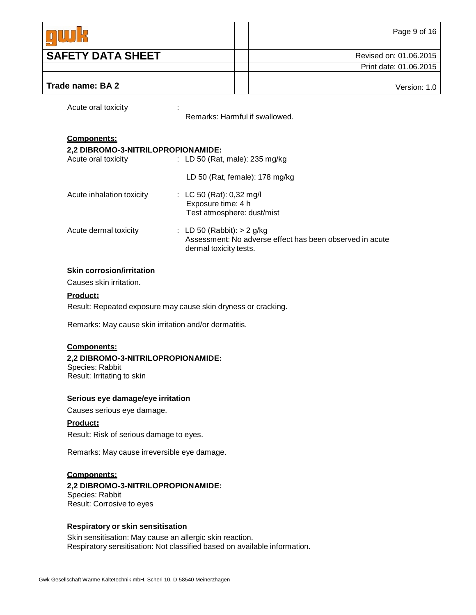|                          | Page 9 of 16           |
|--------------------------|------------------------|
| <b>SAFETY DATA SHEET</b> | Revised on: 01.06.2015 |
|                          | Print date: 01.06.2015 |
|                          |                        |
| Trade name: BA 2         | Version: 1.0           |

Acute oral toxicity in the set of the set of the set of the set of the set of the set of the set of the set of the set of the set of the set of the set of the set of the set of the set of the set of the set of the set of t

Remarks: Harmful if swallowed.

#### **Components:**

#### **2,2 DIBROMO-3-NITRILOPROPIONAMIDE:**

| Acute oral toxicity       | : LD 50 (Rat, male): $235 \text{ mg/kg}$                                                                           |
|---------------------------|--------------------------------------------------------------------------------------------------------------------|
|                           | LD 50 (Rat, female): $178$ mg/kg                                                                                   |
| Acute inhalation toxicity | : LC 50 (Rat): $0,32 \text{ mg/l}$<br>Exposure time: 4 h<br>Test atmosphere: dust/mist                             |
| Acute dermal toxicity     | : LD 50 (Rabbit): $> 2$ g/kg<br>Assessment: No adverse effect has been observed in acute<br>dermal toxicity tests. |

#### **Skin corrosion/irritation**

Causes skin irritation.

#### **Product**:

Result: Repeated exposure may cause skin dryness or cracking.

Remarks: May cause skin irritation and/or dermatitis.

### **Components:**

## **2,2 DIBROMO-3-NITRILOPROPIONAMIDE:**

Species: Rabbit Result: Irritating to skin

#### **Serious eye damage/eye irritation**

Causes serious eye damage.

#### **Product**:

Result: Risk of serious damage to eyes.

Remarks: May cause irreversible eye damage.

## **Components:**

#### **2,2 DIBROMO-3-NITRILOPROPIONAMIDE:** Species: Rabbit Result: Corrosive to eyes

# **Respiratory or skin sensitisation**

Skin sensitisation: May cause an allergic skin reaction. Respiratory sensitisation: Not classified based on available information.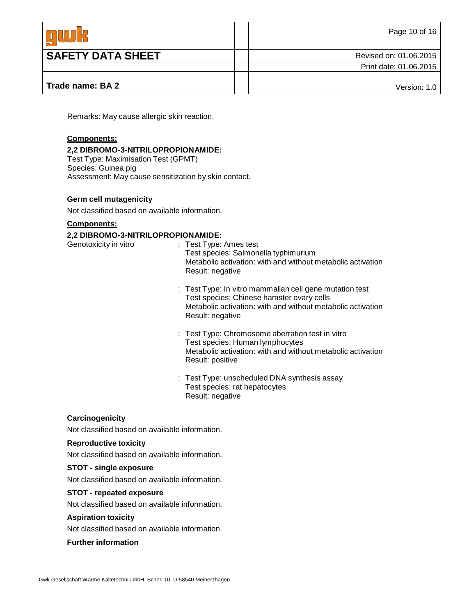|                          | Page 10 of 16          |
|--------------------------|------------------------|
| <b>SAFETY DATA SHEET</b> | Revised on: 01.06.2015 |
|                          | Print date: 01.06.2015 |
|                          |                        |
| Trade name: BA 2         | Version: 1.0           |

Remarks: May cause allergic skin reaction.

## **Components:**

#### **2,2 DIBROMO-3-NITRILOPROPIONAMIDE:**

Test Type: Maximisation Test (GPMT) Species: Guinea pig Assessment: May cause sensitization by skin contact.

#### **Germ cell mutagenicity**

Not classified based on available information.

#### **Components:**

#### **2,2 DIBROMO-3-NITRILOPROPIONAMIDE:**

- Genotoxicity in vitro : Test Type: Ames test Test species: Salmonella typhimurium Metabolic activation: with and without metabolic activation Result: negative
	- : Test Type: In vitro mammalian cell gene mutation test Test species: Chinese hamster ovary cells Metabolic activation: with and without metabolic activation Result: negative
	- : Test Type: Chromosome aberration test in vitro Test species: Human lymphocytes Metabolic activation: with and without metabolic activation Result: positive
	- : Test Type: unscheduled DNA synthesis assay Test species: rat hepatocytes Result: negative

#### **Carcinogenicity**

Not classified based on available information.

#### **Reproductive toxicity**

Not classified based on available information.

#### **STOT - single exposure**

Not classified based on available information.

#### **STOT - repeated exposure**

Not classified based on available information.

#### **Aspiration toxicity**

Not classified based on available information.

#### **Further information**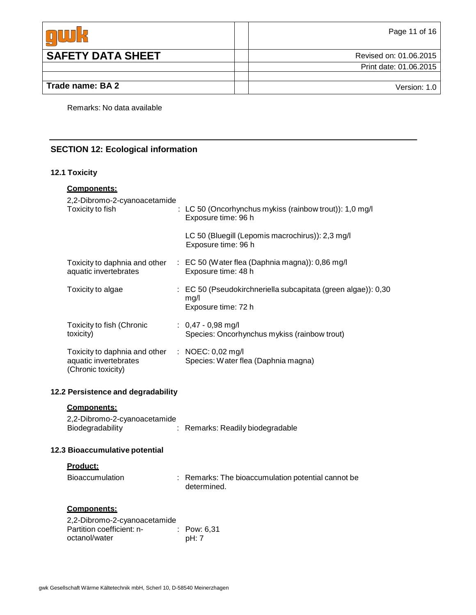|                          | Page 11 of 16          |
|--------------------------|------------------------|
| <b>SAFETY DATA SHEET</b> | Revised on: 01.06.2015 |
|                          | Print date: 01.06.2015 |
|                          |                        |
| Trade name: BA 2         | Version: 1.0           |

Remarks: No data available

# **SECTION 12: Ecological information**

# **12.1 Toxicity**

| Components:                                                                  |  |                                                                                                         |  |
|------------------------------------------------------------------------------|--|---------------------------------------------------------------------------------------------------------|--|
| 2,2-Dibromo-2-cyanoacetamide<br>Toxicity to fish                             |  | : LC 50 (Oncorhynchus mykiss (rainbow trout)): 1,0 mg/l<br>Exposure time: 96 h                          |  |
|                                                                              |  | LC 50 (Bluegill (Lepomis macrochirus)): 2,3 mg/l<br>Exposure time: 96 h                                 |  |
| Toxicity to daphnia and other<br>aquatic invertebrates                       |  | : EC 50 (Water flea (Daphnia magna)): 0,86 mg/l<br>Exposure time: 48 h                                  |  |
| Toxicity to algae                                                            |  | $\therefore$ EC 50 (Pseudokirchneriella subcapitata (green algae)): 0,30<br>mg/l<br>Exposure time: 72 h |  |
| Toxicity to fish (Chronic<br>toxicity)                                       |  | $: 0,47 - 0,98$ mg/l<br>Species: Oncorhynchus mykiss (rainbow trout)                                    |  |
| Toxicity to daphnia and other<br>aquatic invertebrates<br>(Chronic toxicity) |  | : NOEC: $0,02 \text{ mg/l}$<br>Species: Water flea (Daphnia magna)                                      |  |
| 12.2 Persistence and degradability                                           |  |                                                                                                         |  |

| <b>Components:</b> |
|--------------------|
|--------------------|

| 2,2-Dibromo-2-cyanoacetamide |                                  |
|------------------------------|----------------------------------|
| Biodegradability             | : Remarks: Readily biodegradable |

# **12.3 Bioaccumulative potential**

## **Product:**

| <b>Bioaccumulation</b> | : Remarks: The bioaccumulation potential cannot be |
|------------------------|----------------------------------------------------|
|                        | determined.                                        |

# **Components:**

| 2,2-Dibromo-2-cyanoacetamide |                        |
|------------------------------|------------------------|
| Partition coefficient: n-    | $\therefore$ Pow: 6.31 |
| octanol/water                | pH: 7                  |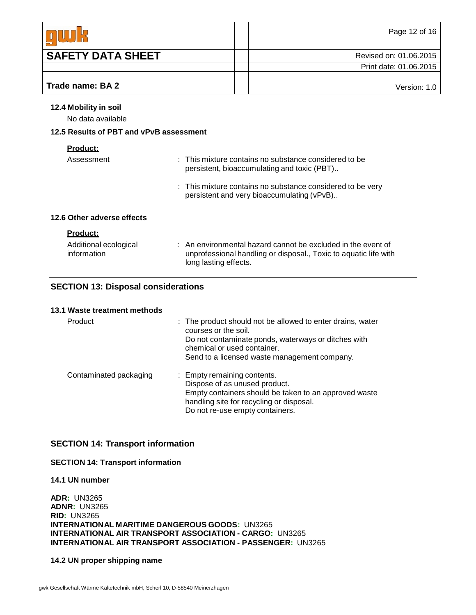|                          | Page 12 of 16          |
|--------------------------|------------------------|
| <b>SAFETY DATA SHEET</b> | Revised on: 01.06.2015 |
|                          | Print date: 01.06.2015 |
|                          |                        |
| Trade name: BA 2         | Version: 1.0           |

#### **12.4 Mobility in soil**

No data available

# **12.5 Results of PBT and vPvB assessment**

| ı<br>ι.<br>ι.<br>ч. |
|---------------------|
|---------------------|

| Assessment                           | $\pm$ This mixture contains no substance considered to be<br>persistent, bioaccumulating and toxic (PBT)                                                  |
|--------------------------------------|-----------------------------------------------------------------------------------------------------------------------------------------------------------|
|                                      | : This mixture contains no substance considered to be very<br>persistent and very bioaccumulating (vPvB)                                                  |
| 12.6 Other adverse effects           |                                                                                                                                                           |
| <u>Product:</u>                      |                                                                                                                                                           |
| Additional ecological<br>information | : An environmental hazard cannot be excluded in the event of<br>unprofessional handling or disposal., Toxic to aquatic life with<br>long lasting effects. |

# **SECTION 13: Disposal considerations**

#### **13.1 Waste treatment methods**

| Product                | : The product should not be allowed to enter drains, water<br>courses or the soil.<br>Do not contaminate ponds, waterways or ditches with<br>chemical or used container.<br>Send to a licensed waste management company. |
|------------------------|--------------------------------------------------------------------------------------------------------------------------------------------------------------------------------------------------------------------------|
| Contaminated packaging | : Empty remaining contents.<br>Dispose of as unused product.<br>Empty containers should be taken to an approved waste<br>handling site for recycling or disposal.<br>Do not re-use empty containers.                     |

# **SECTION 14: Transport information**

# **SECTION 14: Transport information**

**14.1 UN number**

**ADR:** UN3265 **ADNR:** UN3265 **RID:** UN3265 **INTERNATIONAL MARITIME DANGEROUS GOODS:** UN3265 **INTERNATIONAL AIR TRANSPORT ASSOCIATION - CARGO:** UN3265 **INTERNATIONAL AIR TRANSPORT ASSOCIATION - PASSENGER:** UN3265

# **14.2 UN proper shipping name**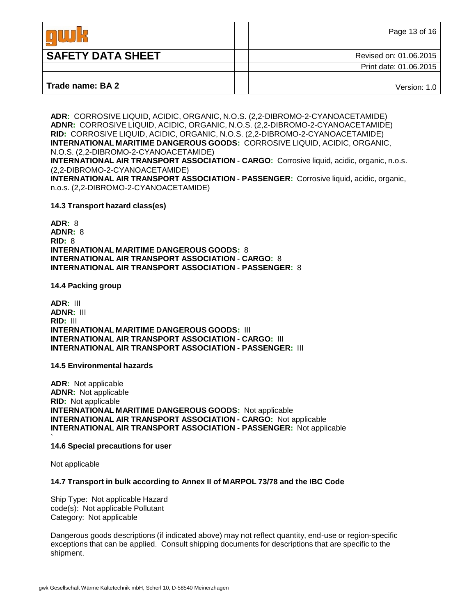|                          | Page 13 of 16          |
|--------------------------|------------------------|
| <b>SAFETY DATA SHEET</b> | Revised on: 01.06.2015 |
|                          | Print date: 01.06.2015 |
|                          |                        |
| Trade name: BA 2         | Version: 1.0           |

**ADR:** CORROSIVE LIQUID, ACIDIC, ORGANIC, N.O.S. (2,2-DIBROMO-2-CYANOACETAMIDE) **ADNR:** CORROSIVE LIQUID, ACIDIC, ORGANIC, N.O.S. (2,2-DIBROMO-2-CYANOACETAMIDE) **RID:** CORROSIVE LIQUID, ACIDIC, ORGANIC, N.O.S. (2,2-DIBROMO-2-CYANOACETAMIDE) **INTERNATIONAL MARITIME DANGEROUS GOODS:** CORROSIVE LIQUID, ACIDIC, ORGANIC, N.O.S. (2,2-DIBROMO-2-CYANOACETAMIDE)

**INTERNATIONAL AIR TRANSPORT ASSOCIATION - CARGO:** Corrosive liquid, acidic, organic, n.o.s. (2,2-DIBROMO-2-CYANOACETAMIDE)

**INTERNATIONAL AIR TRANSPORT ASSOCIATION - PASSENGER:** Corrosive liquid, acidic, organic, n.o.s. (2,2-DIBROMO-2-CYANOACETAMIDE)

#### **14.3 Transport hazard class(es)**

**ADR:** 8 **ADNR:** 8 **RID:** 8 **INTERNATIONAL MARITIME DANGEROUS GOODS:** 8 **INTERNATIONAL AIR TRANSPORT ASSOCIATION - CARGO:** 8 **INTERNATIONAL AIR TRANSPORT ASSOCIATION - PASSENGER:** 8

**14.4 Packing group**

**ADR:** III **ADNR:** III **RID:** III **INTERNATIONAL MARITIME DANGEROUS GOODS:** III **INTERNATIONAL AIR TRANSPORT ASSOCIATION - CARGO:** III **INTERNATIONAL AIR TRANSPORT ASSOCIATION - PASSENGER:** III

#### **14.5 Environmental hazards**

**ADR:** Not applicable **ADNR:** Not applicable **RID:** Not applicable **INTERNATIONAL MARITIME DANGEROUS GOODS:** Not applicable **INTERNATIONAL AIR TRANSPORT ASSOCIATION - CARGO:** Not applicable **INTERNATIONAL AIR TRANSPORT ASSOCIATION - PASSENGER:** Not applicable

#### ` **14.6 Special precautions for user**

Not applicable

#### **14.7 Transport in bulk according to Annex II of MARPOL 73/78 and the IBC Code**

Ship Type: Not applicable Hazard code(s): Not applicable Pollutant Category: Not applicable

Dangerous goods descriptions (if indicated above) may not reflect quantity, end-use or region-specific exceptions that can be applied. Consult shipping documents for descriptions that are specific to the shipment.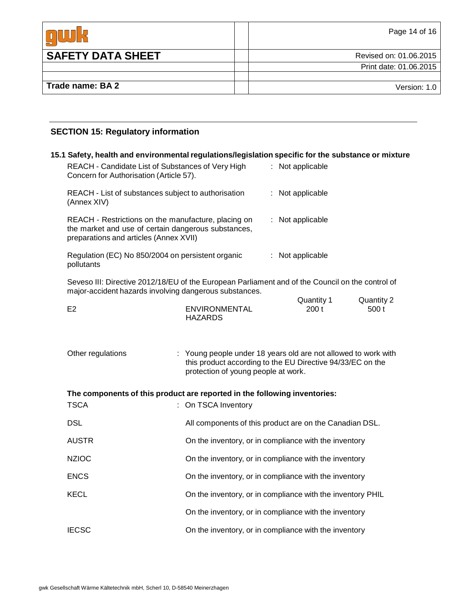|                          | Page 14 of 16          |
|--------------------------|------------------------|
| <b>SAFETY DATA SHEET</b> | Revised on: 01.06.2015 |
|                          | Print date: 01.06.2015 |
|                          |                        |
| Trade name: BA 2         | Version: 1.0           |

# **SECTION 15: Regulatory information**

| 15.1 Safety, health and environmental regulations/legislation specific for the substance or mixture                                                        |                                                                                                                                                                     |  |                                                       |                     |
|------------------------------------------------------------------------------------------------------------------------------------------------------------|---------------------------------------------------------------------------------------------------------------------------------------------------------------------|--|-------------------------------------------------------|---------------------|
| REACH - Candidate List of Substances of Very High<br>Concern for Authorisation (Article 57).                                                               |                                                                                                                                                                     |  | : Not applicable                                      |                     |
| REACH - List of substances subject to authorisation<br>(Annex XIV)                                                                                         |                                                                                                                                                                     |  | Not applicable                                        |                     |
| REACH - Restrictions on the manufacture, placing on<br>the market and use of certain dangerous substances,<br>preparations and articles (Annex XVII)       |                                                                                                                                                                     |  | : Not applicable                                      |                     |
| Regulation (EC) No 850/2004 on persistent organic<br>pollutants                                                                                            |                                                                                                                                                                     |  | : Not applicable                                      |                     |
| Seveso III: Directive 2012/18/EU of the European Parliament and of the Council on the control of<br>major-accident hazards involving dangerous substances. |                                                                                                                                                                     |  |                                                       |                     |
| E <sub>2</sub>                                                                                                                                             | <b>ENVIRONMENTAL</b><br><b>HAZARDS</b>                                                                                                                              |  | Quantity 1<br>200t                                    | Quantity 2<br>500 t |
| Other regulations                                                                                                                                          | : Young people under 18 years old are not allowed to work with<br>this product according to the EU Directive 94/33/EC on the<br>protection of young people at work. |  |                                                       |                     |
| The components of this product are reported in the following inventories:                                                                                  |                                                                                                                                                                     |  |                                                       |                     |
| <b>TSCA</b>                                                                                                                                                | : On TSCA Inventory                                                                                                                                                 |  |                                                       |                     |
| <b>DSL</b>                                                                                                                                                 | All components of this product are on the Canadian DSL.                                                                                                             |  |                                                       |                     |
| <b>AUSTR</b>                                                                                                                                               | On the inventory, or in compliance with the inventory                                                                                                               |  |                                                       |                     |
| <b>NZIOC</b>                                                                                                                                               | On the inventory, or in compliance with the inventory                                                                                                               |  |                                                       |                     |
| <b>ENCS</b>                                                                                                                                                | On the inventory, or in compliance with the inventory                                                                                                               |  |                                                       |                     |
| <b>KECL</b>                                                                                                                                                | On the inventory, or in compliance with the inventory PHIL                                                                                                          |  |                                                       |                     |
|                                                                                                                                                            | On the inventory, or in compliance with the inventory                                                                                                               |  |                                                       |                     |
| <b>IECSC</b>                                                                                                                                               |                                                                                                                                                                     |  | On the inventory, or in compliance with the inventory |                     |
|                                                                                                                                                            |                                                                                                                                                                     |  |                                                       |                     |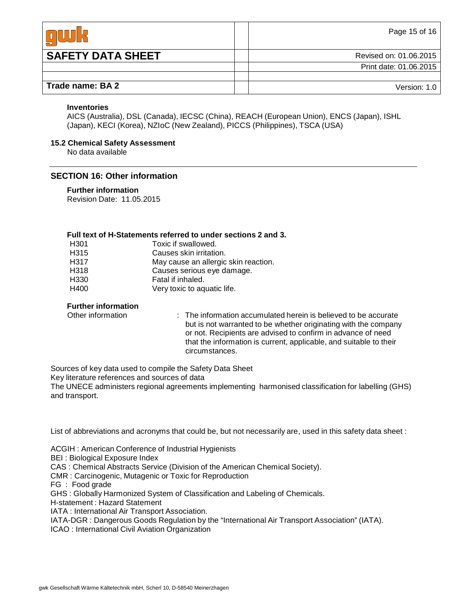|                          | Page 15 of 16          |
|--------------------------|------------------------|
| <b>SAFETY DATA SHEET</b> | Revised on: 01.06.2015 |
|                          | Print date: 01.06.2015 |
|                          |                        |
| Trade name: BA 2         | Version: 1.0           |

#### **Inventories**

AICS (Australia), DSL (Canada), IECSC (China), REACH (European Union), ENCS (Japan), ISHL (Japan), KECI (Korea), NZIoC (New Zealand), PICCS (Philippines), TSCA (USA)

#### **15.2 Chemical Safety Assessment**

No data available

# **SECTION 16: Other information**

#### **Further information**

Revision Date: 11.05.2015

#### **Full text of H-Statements referred to under sections 2 and 3.**

| H <sub>301</sub> | Toxic if swallowed.                  |
|------------------|--------------------------------------|
| H <sub>315</sub> | Causes skin irritation.              |
| H317             | May cause an allergic skin reaction. |
| H318             | Causes serious eye damage.           |
| H330             | Fatal if inhaled.                    |
| H400             | Very toxic to aquatic life.          |

#### **Further information**

Other information : The information accumulated herein is believed to be accurate but is not warranted to be whether originating with the company or not. Recipients are advised to confirm in advance of need that the information is current, applicable, and suitable to their circumstances.

Sources of key data used to compile the Safety Data Sheet

Key literature references and sources of data

The UNECE administers regional agreements implementing harmonised classification for labelling (GHS) and transport.

List of abbreviations and acronyms that could be, but not necessarily are, used in this safety data sheet :

ACGIH : American Conference of Industrial Hygienists

BEI : Biological Exposure Index

CAS : Chemical Abstracts Service (Division of the American Chemical Society).

CMR : Carcinogenic, Mutagenic or Toxic for Reproduction

FG : Food grade

GHS : Globally Harmonized System of Classification and Labeling of Chemicals.

H-statement : Hazard Statement

IATA : International Air Transport Association.

IATA-DGR : Dangerous Goods Regulation by the "International Air Transport Association" (IATA).

ICAO : International Civil Aviation Organization